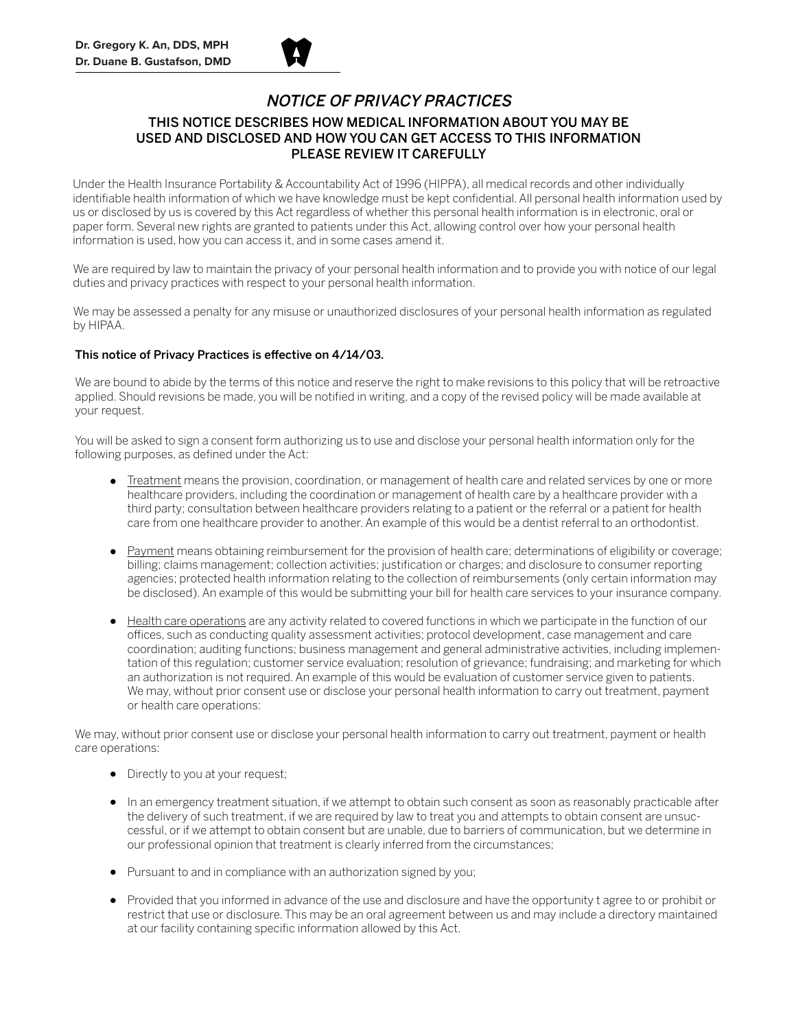

## THIS NOTICE DESCRIBES HOW MEDICAL INFORMATION ABOUT YOU MAY BE USED AND DISCLOSED AND HOW YOU CAN GET ACCESS TO THIS INFORMATION PLEASE REVIEW IT CAREFULLY

Under the Health Insurance Portability & Accountability Act of 1996 (HIPPA), all medical records and other individually identifiable health information of which we have knowledge must be kept confidential. All personal health information used by us or disclosed by us is covered by this Act regardless of whether this personal health information is in electronic, oral or paper form. Several new rights are granted to patients under this Act, allowing control over how your personal health information is used, how you can access it, and in some cases amend it.

We are required by law to maintain the privacy of your personal health information and to provide you with notice of our legal duties and privacy practices with respect to your personal health information.

We may be assessed a penalty for any misuse or unauthorized disclosures of your personal health information as regulated by HIPAA.

## This notice of Privacy Practices is effective on 4/14/03.

We are bound to abide by the terms of this notice and reserve the right to make revisions to this policy that will be retroactive applied. Should revisions be made, you will be notified in writing, and a copy of the revised policy will be made available at your request.

You will be asked to sign a consent form authorizing us to use and disclose your personal health information only for the following purposes, as defined under the Act:

- Treatment means the provision, coordination, or management of health care and related services by one or more healthcare providers, including the coordination or management of health care by a healthcare provider with a third party; consultation between healthcare providers relating to a patient or the referral or a patient for health care from one healthcare provider to another. An example of this would be a dentist referral to an orthodontist.
- Payment means obtaining reimbursement for the provision of health care; determinations of eligibility or coverage; billing; claims management; collection activities; justification or charges; and disclosure to consumer reporting agencies; protected health information relating to the collection of reimbursements (only certain information may be disclosed). An example of this would be submitting your bill for health care services to your insurance company.
- Health care operations are any activity related to covered functions in which we participate in the function of our offices, such as conducting quality assessment activities; protocol development, case management and care coordination; auditing functions; business management and general administrative activities, including implementation of this regulation; customer service evaluation; resolution of grievance; fundraising; and marketing for which an authorization is not required. An example of this would be evaluation of customer service given to patients. We may, without prior consent use or disclose your personal health information to carry out treatment, payment or health care operations:

We may, without prior consent use or disclose your personal health information to carry out treatment, payment or health care operations:

- Directly to you at your request;
- In an emergency treatment situation, if we attempt to obtain such consent as soon as reasonably practicable after the delivery of such treatment, if we are required by law to treat you and attempts to obtain consent are unsuccessful, or if we attempt to obtain consent but are unable, due to barriers of communication, but we determine in our professional opinion that treatment is clearly inferred from the circumstances;
- Pursuant to and in compliance with an authorization signed by you;
- Provided that you informed in advance of the use and disclosure and have the opportunity t agree to or prohibit or restrict that use or disclosure. This may be an oral agreement between us and may include a directory maintained at our facility containing specific information allowed by this Act.